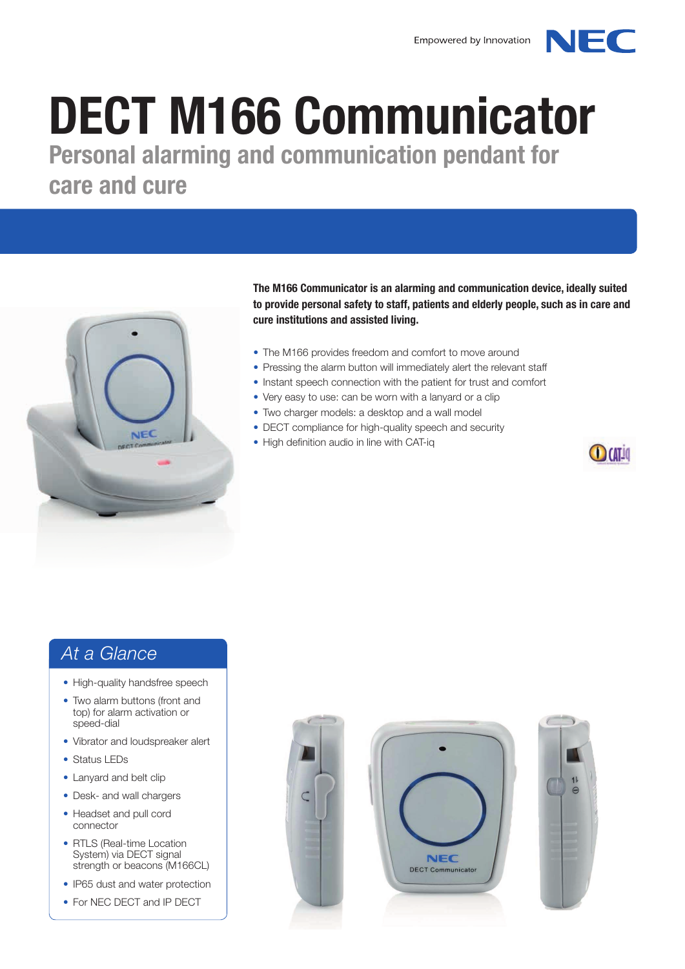# DECT M166 Communicator

Personal alarming and communication pendant for care and cure



The M166 Communicator is an alarming and communication device, ideally suited to provide personal safety to staff, patients and elderly people, such as in care and cure institutions and assisted living.

- The M166 provides freedom and comfort to move around
- Pressing the alarm button will immediately alert the relevant staff
- Instant speech connection with the patient for trust and comfort
- Very easy to use: can be worn with a lanyard or a clip
- Two charger models: a desktop and a wall model
- DECT compliance for high-quality speech and security
- High definition audio in line with CAT-iq



NEC

#### *At a Glance*

- High-quality handsfree speech
- Two alarm buttons (front and top) for alarm activation or speed-dial
- Vibrator and loudspreaker alert
- Status LEDs
- Lanyard and belt clip
- Desk- and wall chargers
- Headset and pull cord connector
- RTLS (Real-time Location System) via DECT signal strength or beacons (M166CL)
- IP65 dust and water protection
- For NEC DECT and IP DECT





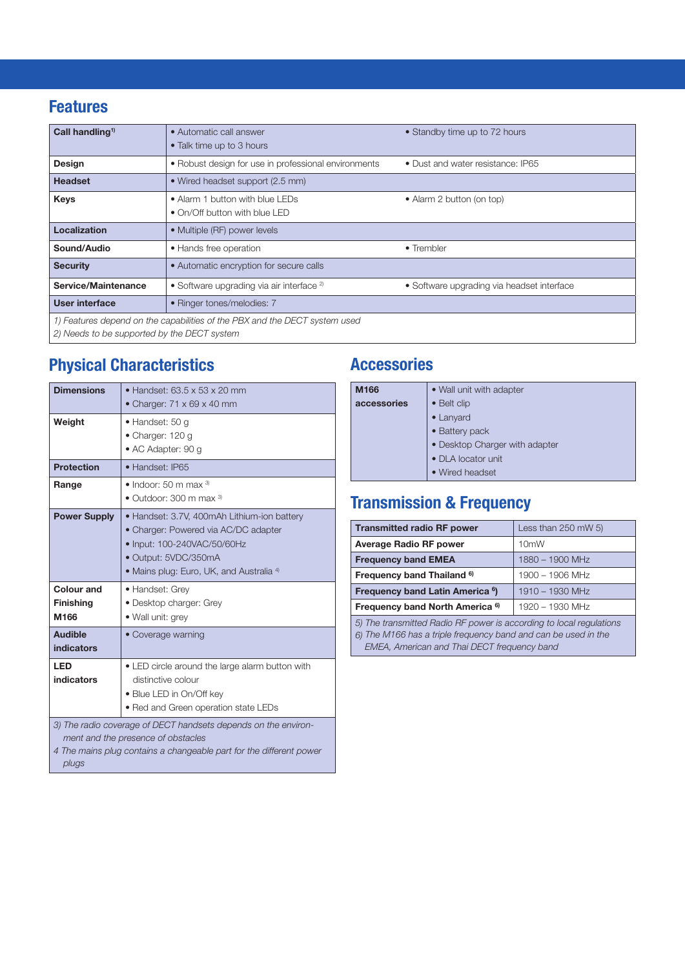#### Features

| Call handling <sup>1)</sup>                                                | • Automatic call answer<br>• Talk time up to 3 hours                                               | • Standby time up to 72 hours |
|----------------------------------------------------------------------------|----------------------------------------------------------------------------------------------------|-------------------------------|
| <b>Design</b>                                                              | • Robust design for use in professional environments<br>• Dust and water resistance: IP65          |                               |
| <b>Headset</b>                                                             | • Wired headset support (2.5 mm)                                                                   |                               |
| <b>Keys</b>                                                                | • Alarm 1 button with blue LEDs<br>• Alarm 2 button (on top)<br>• On/Off button with blue LED      |                               |
| Localization                                                               | • Multiple (RF) power levels                                                                       |                               |
| Sound/Audio                                                                | • Hands free operation<br>• Trembler                                                               |                               |
| <b>Security</b>                                                            | • Automatic encryption for secure calls                                                            |                               |
| Service/Maintenance                                                        | • Software upgrading via air interface <sup>2)</sup><br>• Software upgrading via headset interface |                               |
| User interface<br>• Ringer tones/melodies: 7                               |                                                                                                    |                               |
| 1) Features depend on the capabilities of the PBX and the DECT system used |                                                                                                    |                               |

*2) Needs to be supported by the DECT system*

#### Physical Characteristics

| <b>Dimensions</b>                                                                                                                                                                    | $\bullet$ Handset: 63.5 x 53 x 20 mm<br>• Charger: $71 \times 69 \times 40$ mm                                                                                                                    |  |
|--------------------------------------------------------------------------------------------------------------------------------------------------------------------------------------|---------------------------------------------------------------------------------------------------------------------------------------------------------------------------------------------------|--|
| Weight                                                                                                                                                                               | • Handset: 50 g<br>• Charger: 120 g<br>• AC Adapter: 90 g                                                                                                                                         |  |
| <b>Protection</b>                                                                                                                                                                    | · Handset: IP65                                                                                                                                                                                   |  |
| Range                                                                                                                                                                                | $\bullet$ Indoor: 50 m max $3$<br>$\bullet$ Outdoor: 300 m max $^{3}$                                                                                                                             |  |
| <b>Power Supply</b>                                                                                                                                                                  | • Handset: 3.7V, 400mAh Lithium-ion battery<br>• Charger: Powered via AC/DC adapter<br>• Input: 100-240VAC/50/60Hz<br>• Output: 5VDC/350mA<br>• Mains plug: Euro, UK, and Australia <sup>4)</sup> |  |
| Colour and<br><b>Finishing</b><br>M166                                                                                                                                               | • Handset: Grey<br>• Desktop charger: Grey<br>· Wall unit: grey                                                                                                                                   |  |
| <b>Audible</b><br>indicators                                                                                                                                                         | • Coverage warning                                                                                                                                                                                |  |
| <b>LED</b><br>indicators                                                                                                                                                             | • LED circle around the large alarm button with<br>distinctive colour<br>• Blue LED in On/Off key<br>. Red and Green operation state LEDs                                                         |  |
| 3) The radio coverage of DECT handsets depends on the environ-<br>ment and the presence of obstacles<br>4 The mains plug contains a changeable part for the different power<br>plugs |                                                                                                                                                                                                   |  |

## **Accessories**

|  | M166        | • Wall unit with adapter       |
|--|-------------|--------------------------------|
|  | accessories | • Belt clip                    |
|  |             | $\bullet$ Lanyard              |
|  |             | • Battery pack                 |
|  |             | • Desktop Charger with adapter |
|  |             | • DLA locator unit             |
|  |             | • Wired headset                |

## Transmission & Frequency

| <b>Transmitted radio RF power</b>                                   | Less than $250$ mW $5$ ) |
|---------------------------------------------------------------------|--------------------------|
| <b>Average Radio RF power</b>                                       | 10 <sub>m</sub> W        |
| <b>Frequency band EMEA</b>                                          | $1880 - 1900$ MHz        |
| Frequency band Thailand 6)                                          | 1900 - 1906 MHz          |
| Frequency band Latin America <sup>6</sup> )<br>$1910 - 1930$ MHz    |                          |
| Frequency band North America <sup>6)</sup><br>1920 - 1930 MHz       |                          |
| 5) The transmitted Radio RF power is according to local regulations |                          |

*6) The M166 has a triple frequency band and can be used in the EMEA, American and* Thai *DECT frequency band*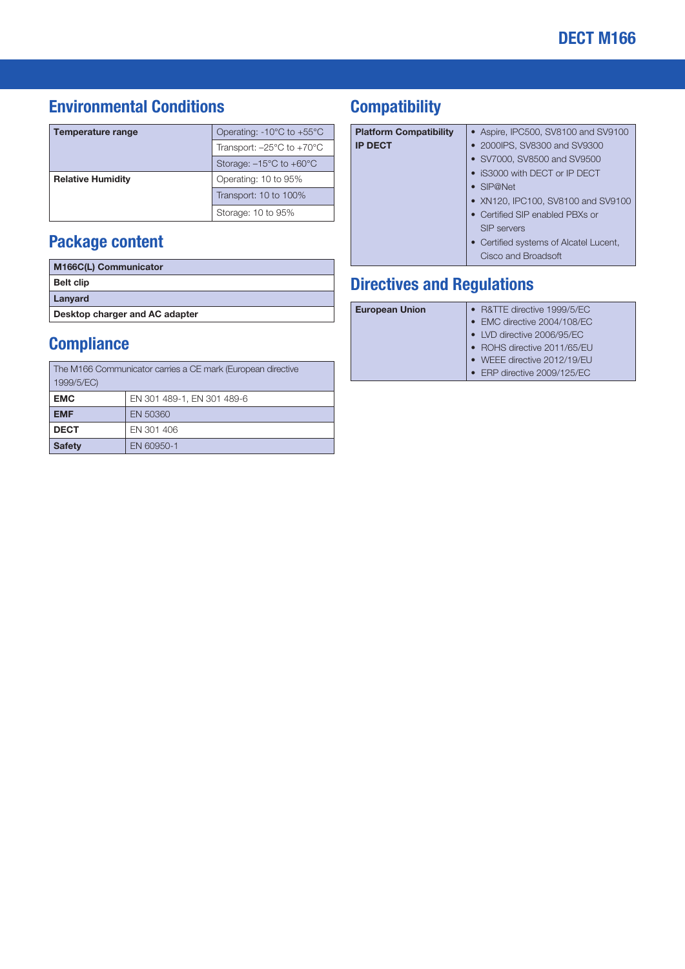#### Environmental Conditions

| Temperature range        | Operating: $-10^{\circ}$ C to $+55^{\circ}$ C |
|--------------------------|-----------------------------------------------|
|                          | Transport: $-25^{\circ}$ C to $+70^{\circ}$ C |
|                          | Storage: $-15^{\circ}$ C to $+60^{\circ}$ C   |
| <b>Relative Humidity</b> | Operating: 10 to 95%                          |
|                          | Transport: 10 to 100%                         |
|                          | Storage: 10 to 95%                            |

#### Package content

| <b>M166C(L) Communicator</b>   |
|--------------------------------|
| <b>Belt clip</b>               |
| Lanyard                        |
| Desktop charger and AC adapter |

#### **Compliance**

| The M166 Communicator carries a CE mark (European directive |  |  |
|-------------------------------------------------------------|--|--|
| 1999/5/EC)                                                  |  |  |
| EN 301 489-1, EN 301 489-6                                  |  |  |
| EN 50360                                                    |  |  |
| EN 301 406                                                  |  |  |
| <b>Safety</b><br>EN 60950-1                                 |  |  |
|                                                             |  |  |

#### **Compatibility**

| <b>Platform Compatibility</b> | • Aspire, IPC500, SV8100 and SV9100    |
|-------------------------------|----------------------------------------|
| <b>IP DECT</b>                | • 2000IPS, SV8300 and SV9300           |
|                               | • SV7000, SV8500 and SV9500            |
|                               | • IS3000 with DECT or IP DECT          |
|                               | $\bullet$ SIP@Net                      |
|                               | • XN120, IPC100, SV8100 and SV9100     |
|                               | • Certified SIP enabled PBXs or        |
|                               | SIP servers                            |
|                               | • Certified systems of Alcatel Lucent, |
|                               | Cisco and Broadsoft                    |
|                               |                                        |

## Directives and Regulations

| <b>European Union</b> | • R&TTE directive 1999/5/EC |
|-----------------------|-----------------------------|
|                       | • EMC directive 2004/108/EC |
|                       | • LVD directive 2006/95/EC  |
|                       | • ROHS directive 2011/65/EU |
|                       | • WEEE directive 2012/19/EU |
|                       | • ERP directive 2009/125/EC |